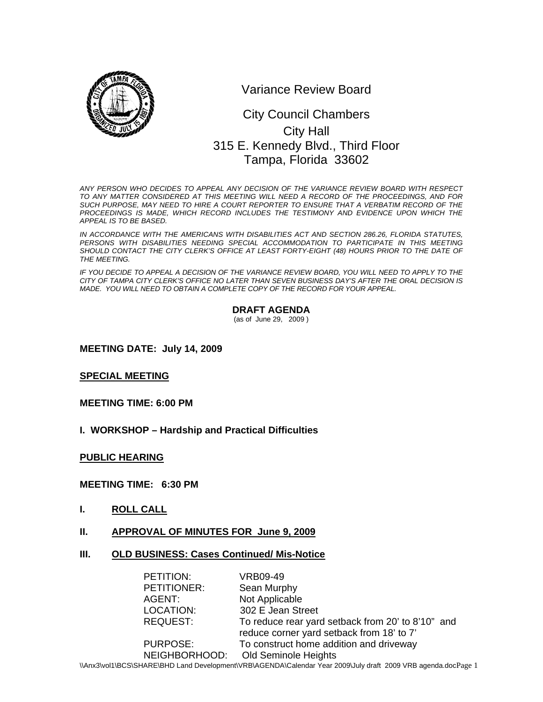

Variance Review Board

# 0 315 E. Kennedy Blvd., Third Floor City Council Chambers City Hall Tampa, Florida 33602

*ANY PERSON WHO DECIDES TO APPEAL ANY DECISION OF THE VARIANCE REVIEW BOARD WITH RESPECT TO ANY MATTER CONSIDERED AT THIS MEETING WILL NEED A RECORD OF THE PROCEEDINGS, AND FOR SUCH PURPOSE, MAY NEED TO HIRE A COURT REPORTER TO ENSURE THAT A VERBATIM RECORD OF THE*  PROCEEDINGS IS MADE, WHICH RECORD INCLUDES THE TESTIMONY AND EVIDENCE UPON WHICH THE *APPEAL IS TO BE BASED.* 

*IN ACCORDANCE WITH THE AMERICANS WITH DISABILITIES ACT AND SECTION 286.26, FLORIDA STATUTES,*  PERSONS WITH DISABILITIES NEEDING SPECIAL ACCOMMODATION TO PARTICIPATE IN THIS MEETING SHOULD CONTACT THE CITY CLERK'S OFFICE AT LEAST FORTY-EIGHT (48) HOURS PRIOR TO THE DATE OF *THE MEETING.* 

*IF YOU DECIDE TO APPEAL A DECISION OF THE VARIANCE REVIEW BOARD, YOU WILL NEED TO APPLY TO THE CITY OF TAMPA CITY CLERK'S OFFICE NO LATER THAN SEVEN BUSINESS DAY'S AFTER THE ORAL DECISION IS MADE. YOU WILL NEED TO OBTAIN A COMPLETE COPY OF THE RECORD FOR YOUR APPEAL.* 

### **DRAFT AGENDA**

(as of June 29, 2009 )

**MEETING DATE: July 14, 2009** 

**SPECIAL MEETING** 

**MEETING TIME: 6:00 PM** 

**I. WORKSHOP – Hardship and Practical Difficulties** 

**PUBLIC HEARING**

### **MEETING TIME: 6:30 PM**

- **I. ROLL CALL**
- **II. APPROVAL OF MINUTES FOR June 9, 2009**
- **III. OLD BUSINESS: Cases Continued/ Mis-Notice**

| PETITION:       | VRB09-49                                          |
|-----------------|---------------------------------------------------|
| PETITIONER:     | Sean Murphy                                       |
| AGENT:          | Not Applicable                                    |
| LOCATION:       | 302 E Jean Street                                 |
| <b>REQUEST:</b> | To reduce rear yard setback from 20' to 8'10" and |
|                 | reduce corner yard setback from 18' to 7'         |
| <b>PURPOSE:</b> | To construct home addition and driveway           |
| NEIGHBORHOOD:   | Old Seminole Heights                              |

\\Anx3\vol1\BCS\SHARE\BHD Land Development\VRB\AGENDA\Calendar Year 2009\July draft 2009 VRB agenda.docPage 1